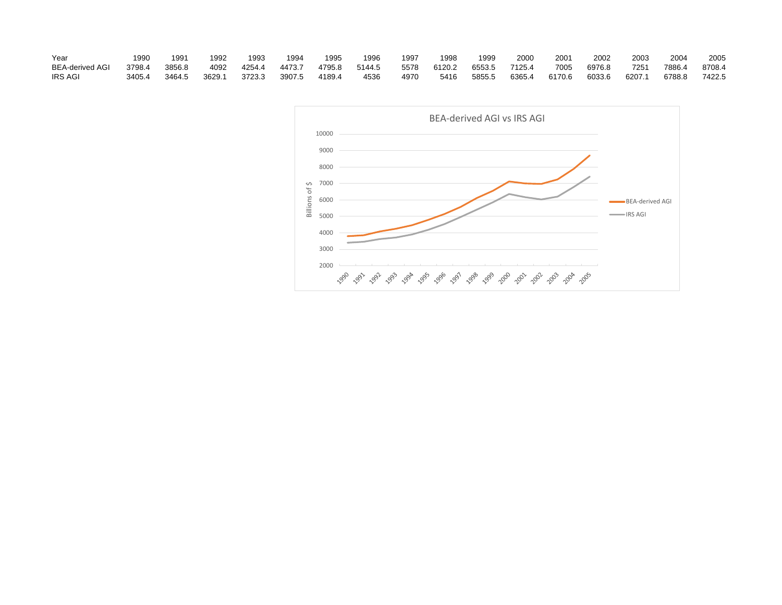| Year                   | 1990   | 1991   | 1992   | 1993   | 1994   | 1995   | 1996   | 1997 | 1998   | 1999   | 200    | 200    | 2002   | 2003   | 2004   | 2005   |
|------------------------|--------|--------|--------|--------|--------|--------|--------|------|--------|--------|--------|--------|--------|--------|--------|--------|
| <b>BEA-derived AGI</b> | 3798.4 | 3856.8 | 4092   | 4254.4 | 4473.7 | 4795.8 | 5144.5 | 5578 | 6120.2 | 6553.5 | 7125.4 | 7005   | 6976.8 | 7251   | 7886.4 | 8708.4 |
| <b>IRS AGI</b>         | 3405.4 | 3464.5 | 3629.1 | 3723.3 | 3907.5 | 4189.4 | 4536   | 4970 | 5416   | 5855.5 | 6365.4 | 6170.6 | 6033.6 | 6207.1 | 6788.8 | 7422.5 |